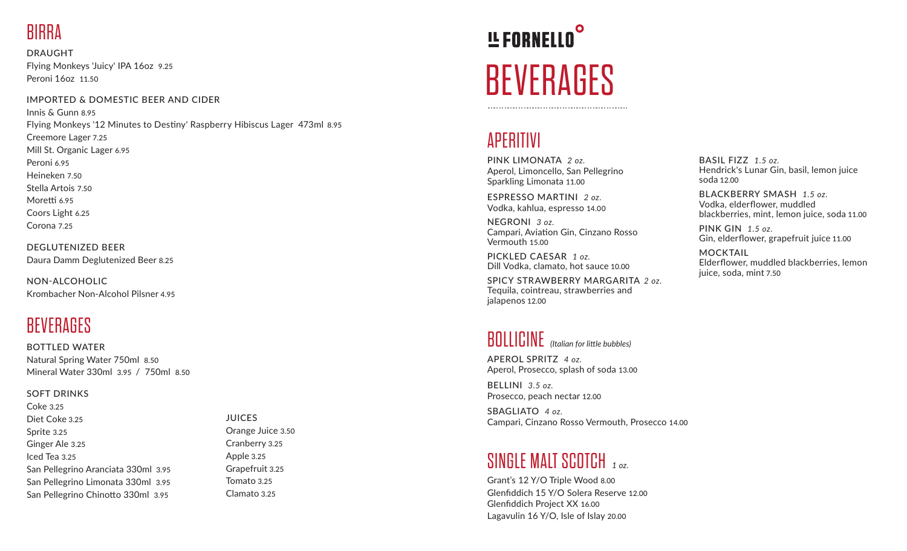# **RIRRA**

DRAUGHT Flying Monkeys 'Juicy' IPA 16oz 9.25 Peroni 16oz 11.50

#### IMPORTED & DOMESTIC BEER AND CIDER

Innis & Gunn 8.95 Flying Monkeys '12 Minutes to Destiny' Raspberry Hibiscus Lager 473ml 8.95 Creemore Lager 7.25 Mill St. Organic Lager 6.95 Peroni 6.95 Heineken 7.50 Stella Artois 7.50 Moretti 6.95 Coors Light 6.25 Corona 7.25

DEGLUTENIZED BEER Daura Damm Deglutenized Beer 8.25

NON-ALCOHOLIC Krombacher Non-Alcohol Pilsner 4.95

#### **BEVERAGES**

BOTTLED WATER Natural Spring Water 750ml 8.50 Mineral Water 330ml 3.95 / 750ml 8.50

#### SOFT DRINKS

Coke 3.25 Diet Coke 3.25 Sprite 3.25 Ginger Ale 3.25 Iced Tea 3.25 San Pellegrino Aranciata 330ml 3.95 San Pellegrino Limonata 330ml 3.95 San Pellegrino Chinotto 330ml 3.95

**JUICES** Orange Juice 3.50 Cranberry 3.25 Apple 3.25 Grapefruit 3.25 Tomato 3.25 Clamato 3.25

# **!L FORNELLO BEVERAGES**

#### APERITIVI

PINK LIMONATA *2 oz.* Aperol, Limoncello, San Pellegrino Sparkling Limonata 11.00

ESPRESSO MARTINI *2 oz.* Vodka, kahlua, espresso 14.00

NEGRONI *3 oz.* Campari, Aviation Gin, Cinzano Rosso Vermouth 15.00

PICKLED CAESAR *1 oz.* Dill Vodka, clamato, hot sauce 10.00

SPICY STRAWBERRY MARGARITA *2 oz.* Tequila, cointreau, strawberries and ialapenos 12.00

#### BOLLICINE *(Italian for little bubbles)*

APEROL SPRITZ *4 oz.* Aperol, Prosecco, splash of soda 13.00

BELLINI *3.5 oz.* Prosecco, peach nectar 12.00

SBAGLIATO *4 oz.* Campari, Cinzano Rosso Vermouth, Prosecco 14.00

### SINGLE MALT SCOTCH *1 oz.*

Grant's 12 Y/O Triple Wood 8.00 Glenfiddich 15 Y/O Solera Reserve 12.00 Glenfiddich Project XX 16.00 Lagavulin 16 Y/O, Isle of Islay 20.00

BASIL FIZZ *1.5 oz.* Hendrick's Lunar Gin, basil, lemon juice soda 12.00

BLACKBERRY SMASH *1.5 oz.* Vodka, elderflower, muddled blackberries, mint, lemon juice, soda 11.00

PINK GIN *1.5 oz.* Gin, elderflower, grapefruit juice 11.00

MOCKTAIL Elderflower, muddled blackberries, lemon juice, soda, mint 7.50